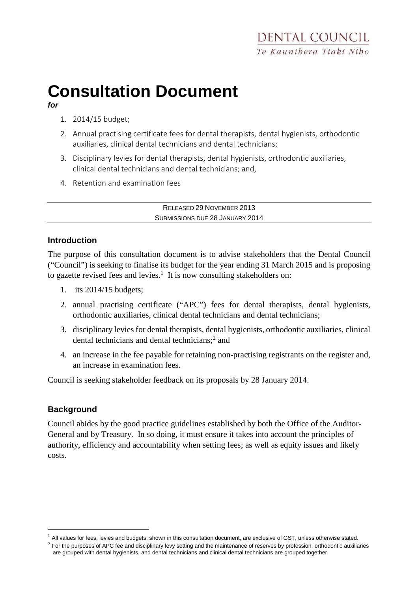# **Consultation Document**

**for**

- 1. 2014/15 budget;
- 2. Annual practising certificate fees for dental therapists, dental hygienists, orthodontic auxiliaries, clinical dental technicians and dental technicians;
- 3. Disciplinary levies for dental therapists, dental hygienists, orthodontic auxiliaries, clinical dental technicians and dental technicians; and,
- 4. Retention and examination fees

RELEASED 29 NOVEMBER 2013 SUBMISSIONS DUE 28 JANUARY 2014

### **Introduction**

The purpose of this consultation document is to advise stakeholders that the Dental Council ("Council") is seeking to finalise its budget for the year ending 31 March 2015 and is proposing to gazette revised fees and levies.<sup>1</sup> It is now consulting stakeholders on:

- 1. its 2014/15 budgets;
- 2. annual practising certificate ("APC") fees for dental therapists, dental hygienists, orthodontic auxiliaries, clinical dental technicians and dental technicians;
- 3. disciplinary levies for dental therapists, dental hygienists, orthodontic auxiliaries, clinical dental technicians and dental technicians;<sup>2</sup> and
- 4. an increase in the fee payable for retaining non-practising registrants on the register and, an increase in examination fees.

Council is seeking stakeholder feedback on its proposals by 28 January 2014.

## **Background**

 $\overline{a}$ 

Council abides by the good practice guidelines established by both the Office of the Auditor-General and by Treasury. In so doing, it must ensure it takes into account the principles of authority, efficiency and accountability when setting fees; as well as equity issues and likely costs.

 $<sup>1</sup>$  All values for fees, levies and budgets, shown in this consultation document, are exclusive of GST, unless otherwise stated.</sup>

 $2$  For the purposes of APC fee and disciplinary levy setting and the maintenance of reserves by profession, orthodontic auxiliaries are grouped with dental hygienists, and dental technicians and clinical dental technicians are grouped together.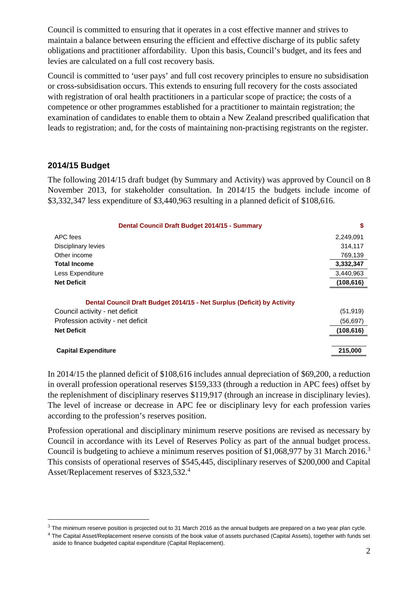Council is committed to ensuring that it operates in a cost effective manner and strives to maintain a balance between ensuring the efficient and effective discharge of its public safety obligations and practitioner affordability. Upon this basis, Council's budget, and its fees and levies are calculated on a full cost recovery basis.

Council is committed to 'user pays' and full cost recovery principles to ensure no subsidisation or cross-subsidisation occurs. This extends to ensuring full recovery for the costs associated with registration of oral health practitioners in a particular scope of practice; the costs of a competence or other programmes established for a practitioner to maintain registration; the examination of candidates to enable them to obtain a New Zealand prescribed qualification that leads to registration; and, for the costs of maintaining non-practising registrants on the register.

### **2014/15 Budget**

 $\overline{a}$ 

The following 2014/15 draft budget (by Summary and Activity) was approved by Council on 8 November 2013, for stakeholder consultation. In 2014/15 the budgets include income of \$3,332,347 less expenditure of \$3,440,963 resulting in a planned deficit of \$108,616.

| Dental Council Draft Budget 2014/15 - Summary                           | \$         |
|-------------------------------------------------------------------------|------------|
| APC fees                                                                | 2,249,091  |
| Disciplinary levies                                                     | 314,117    |
| Other income                                                            | 769,139    |
| <b>Total Income</b>                                                     | 3,332,347  |
| Less Expenditure                                                        | 3,440,963  |
| <b>Net Deficit</b>                                                      | (108, 616) |
| Dental Council Draft Budget 2014/15 - Net Surplus (Deficit) by Activity |            |
| Council activity - net deficit                                          | (51, 919)  |
| Profession activity - net deficit                                       | (56, 697)  |
| <b>Net Deficit</b>                                                      | (108, 616) |
| <b>Capital Expenditure</b>                                              | 215,000    |

In 2014/15 the planned deficit of \$108,616 includes annual depreciation of \$69,200, a reduction in overall profession operational reserves \$159,333 (through a reduction in APC fees) offset by the replenishment of disciplinary reserves \$119,917 (through an increase in disciplinary levies). The level of increase or decrease in APC fee or disciplinary levy for each profession varies according to the profession's reserves position.

Profession operational and disciplinary minimum reserve positions are revised as necessary by Council in accordance with its Level of Reserves Policy as part of the annual budget process. Council is budgeting to achieve a minimum reserves position of \$1,068,977 by 31 March 2016.<sup>3</sup> This consists of operational reserves of \$545,445, disciplinary reserves of \$200,000 and Capital Asset/Replacement reserves of \$323,532.4

 $3$  The minimum reserve position is projected out to 31 March 2016 as the annual budgets are prepared on a two year plan cycle.

 $4$  The Capital Asset/Replacement reserve consists of the book value of assets purchased (Capital Assets), together with funds set aside to finance budgeted capital expenditure (Capital Replacement).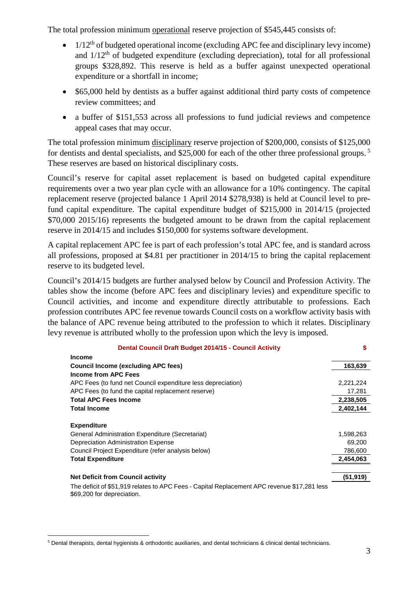The total profession minimum operational reserve projection of \$545,445 consists of:

- $\bullet$  1/12<sup>th</sup> of budgeted operational income (excluding APC fee and disciplinary levy income) and  $1/12<sup>th</sup>$  of budgeted expenditure (excluding depreciation), total for all professional groups \$328,892. This reserve is held as a buffer against unexpected operational expenditure or a shortfall in income;
- \$65,000 held by dentists as a buffer against additional third party costs of competence review committees; and
- a buffer of \$151,553 across all professions to fund judicial reviews and competence appeal cases that may occur.

The total profession minimum disciplinary reserve projection of \$200,000, consists of \$125,000 for dentists and dental specialists, and \$25,000 for each of the other three professional groups.<sup>5</sup> These reserves are based on historical disciplinary costs.

Council's reserve for capital asset replacement is based on budgeted capital expenditure requirements over a two year plan cycle with an allowance for a 10% contingency. The capital replacement reserve (projected balance 1 April 2014 \$278,938) is held at Council level to prefund capital expenditure. The capital expenditure budget of \$215,000 in 2014/15 (projected \$70,000 2015/16) represents the budgeted amount to be drawn from the capital replacement reserve in 2014/15 and includes \$150,000 for systems software development.

A capital replacement APC fee is part of each profession's total APC fee, and is standard across all professions, proposed at \$4.81 per practitioner in 2014/15 to bring the capital replacement reserve to its budgeted level.

Council's 2014/15 budgets are further analysed below by Council and Profession Activity. The tables show the income (before APC fees and disciplinary levies) and expenditure specific to Council activities, and income and expenditure directly attributable to professions. Each profession contributes APC fee revenue towards Council costs on a workflow activity basis with the balance of APC revenue being attributed to the profession to which it relates. Disciplinary levy revenue is attributed wholly to the profession upon which the levy is imposed.

| Dental Council Draft Budget 2014/15 - Council Activity                                                                    |           |
|---------------------------------------------------------------------------------------------------------------------------|-----------|
| <b>Income</b>                                                                                                             |           |
| <b>Council Income (excluding APC fees)</b>                                                                                | 163,639   |
| Income from APC Fees                                                                                                      |           |
| APC Fees (to fund net Council expenditure less depreciation)                                                              | 2,221,224 |
| APC Fees (to fund the capital replacement reserve)                                                                        | 17,281    |
| <b>Total APC Fees Income</b>                                                                                              | 2,238,505 |
| <b>Total Income</b>                                                                                                       | 2,402,144 |
| <b>Expenditure</b>                                                                                                        |           |
| General Administration Expenditure (Secretariat)                                                                          | 1,598,263 |
| Depreciation Administration Expense                                                                                       | 69,200    |
| Council Project Expenditure (refer analysis below)                                                                        | 786,600   |
| <b>Total Expenditure</b>                                                                                                  | 2,454,063 |
| <b>Net Deficit from Council activity</b>                                                                                  | (51,919)  |
| The deficit of \$51,919 relates to APC Fees - Capital Replacement APC revenue \$17,281 less<br>\$69,200 for depreciation. |           |

 $\overline{a}$ 5 Dental therapists, dental hygienists & orthodontic auxiliaries, and dental technicians & clinical dental technicians.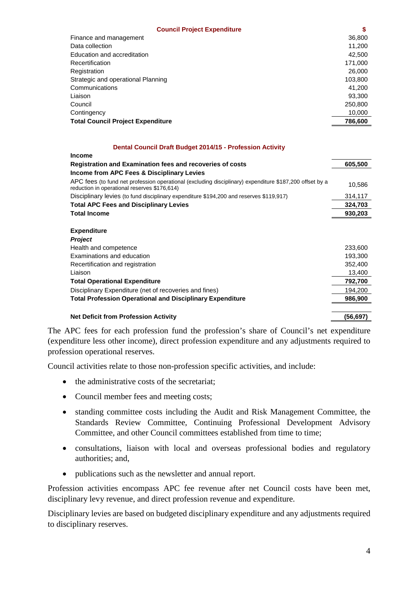| <b>Council Project Expenditure</b>       | S       |
|------------------------------------------|---------|
| Finance and management                   | 36,800  |
| Data collection                          | 11,200  |
| Education and accreditation              | 42,500  |
| Recertification                          | 171,000 |
| Registration                             | 26,000  |
| Strategic and operational Planning       | 103,800 |
| Communications                           | 41.200  |
| Liaison                                  | 93.300  |
| Council                                  | 250,800 |
| Contingency                              | 10,000  |
| <b>Total Council Project Expenditure</b> | 786,600 |

#### **Dental Council Draft Budget 2014/15 - Profession Activity**

| <b>Income</b>                                                                                                                                           |           |
|---------------------------------------------------------------------------------------------------------------------------------------------------------|-----------|
| <b>Registration and Examination fees and recoveries of costs</b>                                                                                        | 605,500   |
| Income from APC Fees & Disciplinary Levies                                                                                                              |           |
| APC fees (to fund net profession operational (excluding disciplinary) expenditure \$187,200 offset by a<br>reduction in operational reserves \$176,614) | 10,586    |
| Disciplinary levies (to fund disciplinary expenditure \$194,200 and reserves \$119,917)                                                                 | 314,117   |
| <b>Total APC Fees and Disciplinary Levies</b>                                                                                                           | 324,703   |
| <b>Total Income</b>                                                                                                                                     | 930,203   |
|                                                                                                                                                         |           |
| <b>Expenditure</b>                                                                                                                                      |           |
| <b>Project</b>                                                                                                                                          |           |
| Health and competence                                                                                                                                   | 233,600   |
| Examinations and education                                                                                                                              | 193,300   |
| Recertification and registration                                                                                                                        | 352,400   |
| Liaison                                                                                                                                                 | 13,400    |
| <b>Total Operational Expenditure</b>                                                                                                                    | 792,700   |
| Disciplinary Expenditure (net of recoveries and fines)                                                                                                  | 194,200   |
| <b>Total Profession Operational and Disciplinary Expenditure</b>                                                                                        | 986,900   |
| <b>Net Deficit from Profession Activity</b>                                                                                                             | (56, 697) |

The APC fees for each profession fund the profession's share of Council's net expenditure (expenditure less other income), direct profession expenditure and any adjustments required to profession operational reserves.

Council activities relate to those non-profession specific activities, and include:

- the administrative costs of the secretariat;
- Council member fees and meeting costs;
- standing committee costs including the Audit and Risk Management Committee, the Standards Review Committee, Continuing Professional Development Advisory Committee, and other Council committees established from time to time;
- consultations, liaison with local and overseas professional bodies and regulatory authorities; and,
- publications such as the newsletter and annual report.

Profession activities encompass APC fee revenue after net Council costs have been met, disciplinary levy revenue, and direct profession revenue and expenditure.

Disciplinary levies are based on budgeted disciplinary expenditure and any adjustments required to disciplinary reserves.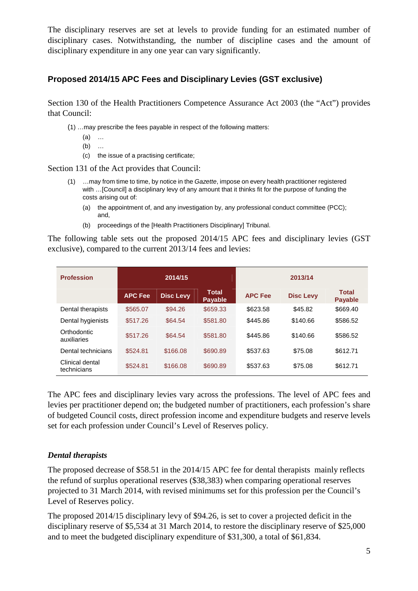The disciplinary reserves are set at levels to provide funding for an estimated number of disciplinary cases. Notwithstanding, the number of discipline cases and the amount of disciplinary expenditure in any one year can vary significantly.

## **Proposed 2014/15 APC Fees and Disciplinary Levies (GST exclusive)**

Section 130 of the Health Practitioners Competence Assurance Act 2003 (the "Act") provides that Council:

- (1) …may prescribe the fees payable in respect of the following matters:
	- (a) …
	- (b) …
	- (c) the issue of a practising certificate;

Section 131 of the Act provides that Council:

- (1) …may from time to time, by notice in the Gazette, impose on every health practitioner registered with …[Council] a disciplinary levy of any amount that it thinks fit for the purpose of funding the costs arising out of:
	- (a) the appointment of, and any investigation by, any professional conduct committee (PCC); and,
	- (b) proceedings of the [Health Practitioners Disciplinary] Tribunal.

The following table sets out the proposed 2014/15 APC fees and disciplinary levies (GST exclusive), compared to the current 2013/14 fees and levies:

| <b>Profession</b>              | 2014/15        |                  | 2013/14                        |                |                  |                                |
|--------------------------------|----------------|------------------|--------------------------------|----------------|------------------|--------------------------------|
|                                | <b>APC Fee</b> | <b>Disc Levy</b> | <b>Total</b><br><b>Payable</b> | <b>APC Fee</b> | <b>Disc Levy</b> | <b>Total</b><br><b>Payable</b> |
| Dental therapists              | \$565.07       | \$94.26          | \$659.33                       | \$623.58       | \$45.82          | \$669.40                       |
| Dental hygienists              | \$517.26       | \$64.54          | \$581.80                       | \$445.86       | \$140.66         | \$586.52                       |
| Orthodontic<br>auxiliaries     | \$517.26       | \$64.54          | \$581.80                       | \$445.86       | \$140.66         | \$586.52                       |
| Dental technicians             | \$524.81       | \$166.08         | \$690.89                       | \$537.63       | \$75.08          | \$612.71                       |
| Clinical dental<br>technicians | \$524.81       | \$166.08         | \$690.89                       | \$537.63       | \$75.08          | \$612.71                       |

The APC fees and disciplinary levies vary across the professions. The level of APC fees and levies per practitioner depend on; the budgeted number of practitioners, each profession's share of budgeted Council costs, direct profession income and expenditure budgets and reserve levels set for each profession under Council's Level of Reserves policy.

#### *Dental therapists*

The proposed decrease of \$58.51 in the 2014/15 APC fee for dental therapists mainly reflects the refund of surplus operational reserves (\$38,383) when comparing operational reserves projected to 31 March 2014, with revised minimums set for this profession per the Council's Level of Reserves policy.

The proposed 2014/15 disciplinary levy of \$94.26, is set to cover a projected deficit in the disciplinary reserve of \$5,534 at 31 March 2014, to restore the disciplinary reserve of \$25,000 and to meet the budgeted disciplinary expenditure of \$31,300, a total of \$61,834.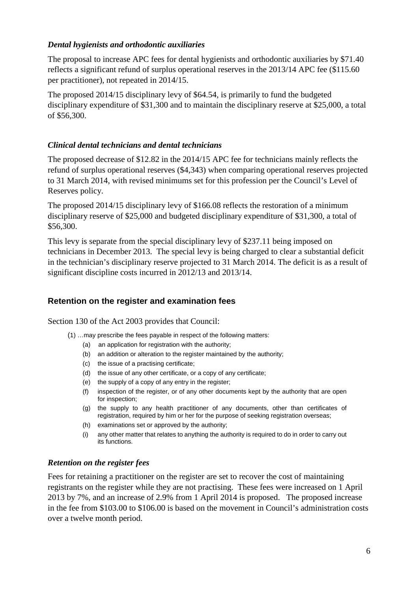#### *Dental hygienists and orthodontic auxiliaries*

The proposal to increase APC fees for dental hygienists and orthodontic auxiliaries by \$71.40 reflects a significant refund of surplus operational reserves in the 2013/14 APC fee (\$115.60 per practitioner), not repeated in 2014/15.

The proposed 2014/15 disciplinary levy of \$64.54, is primarily to fund the budgeted disciplinary expenditure of \$31,300 and to maintain the disciplinary reserve at \$25,000, a total of \$56,300.

#### *Clinical dental technicians and dental technicians*

The proposed decrease of \$12.82 in the 2014/15 APC fee for technicians mainly reflects the refund of surplus operational reserves (\$4,343) when comparing operational reserves projected to 31 March 2014, with revised minimums set for this profession per the Council's Level of Reserves policy.

The proposed 2014/15 disciplinary levy of \$166.08 reflects the restoration of a minimum disciplinary reserve of \$25,000 and budgeted disciplinary expenditure of \$31,300, a total of \$56,300.

This levy is separate from the special disciplinary levy of \$237.11 being imposed on technicians in December 2013. The special levy is being charged to clear a substantial deficit in the technician's disciplinary reserve projected to 31 March 2014. The deficit is as a result of significant discipline costs incurred in 2012/13 and 2013/14.

#### **Retention on the register and examination fees**

Section 130 of the Act 2003 provides that Council:

- (1) …may prescribe the fees payable in respect of the following matters:
	- (a) an application for registration with the authority;
	- (b) an addition or alteration to the register maintained by the authority;
	- (c) the issue of a practising certificate;
	- (d) the issue of any other certificate, or a copy of any certificate;
	- (e) the supply of a copy of any entry in the register;
	- (f) inspection of the register, or of any other documents kept by the authority that are open for inspection;
	- (g) the supply to any health practitioner of any documents, other than certificates of registration, required by him or her for the purpose of seeking registration overseas;
	- (h) examinations set or approved by the authority;
	- (i) any other matter that relates to anything the authority is required to do in order to carry out its functions.

#### *Retention on the register fees*

Fees for retaining a practitioner on the register are set to recover the cost of maintaining registrants on the register while they are not practising. These fees were increased on 1 April 2013 by 7%, and an increase of 2.9% from 1 April 2014 is proposed. The proposed increase in the fee from \$103.00 to \$106.00 is based on the movement in Council's administration costs over a twelve month period.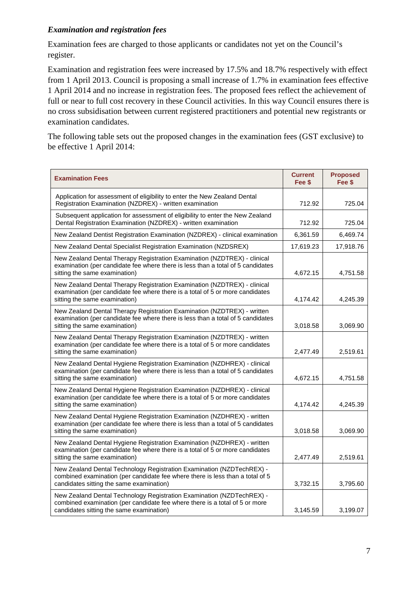#### *Examination and registration fees*

Examination fees are charged to those applicants or candidates not yet on the Council's register.

Examination and registration fees were increased by 17.5% and 18.7% respectively with effect from 1 April 2013. Council is proposing a small increase of 1.7% in examination fees effective 1 April 2014 and no increase in registration fees. The proposed fees reflect the achievement of full or near to full cost recovery in these Council activities. In this way Council ensures there is no cross subsidisation between current registered practitioners and potential new registrants or examination candidates.

The following table sets out the proposed changes in the examination fees (GST exclusive) to be effective 1 April 2014:

| <b>Examination Fees</b>                                                                                                                                                                            | <b>Current</b><br>Fee \$ | <b>Proposed</b><br>Fee \$ |
|----------------------------------------------------------------------------------------------------------------------------------------------------------------------------------------------------|--------------------------|---------------------------|
| Application for assessment of eligibility to enter the New Zealand Dental<br>Registration Examination (NZDREX) - written examination                                                               | 712.92                   | 725.04                    |
| Subsequent application for assessment of eligibility to enter the New Zealand<br>Dental Registration Examination (NZDREX) - written examination                                                    | 712.92                   | 725.04                    |
| New Zealand Dentist Registration Examination (NZDREX) - clinical examination                                                                                                                       | 6,361.59                 | 6,469.74                  |
| New Zealand Dental Specialist Registration Examination (NZDSREX)                                                                                                                                   | 17,619.23                | 17,918.76                 |
| New Zealand Dental Therapy Registration Examination (NZDTREX) - clinical<br>examination (per candidate fee where there is less than a total of 5 candidates<br>sitting the same examination)       | 4,672.15                 | 4,751.58                  |
| New Zealand Dental Therapy Registration Examination (NZDTREX) - clinical<br>examination (per candidate fee where there is a total of 5 or more candidates<br>sitting the same examination)         | 4,174.42                 | 4,245.39                  |
| New Zealand Dental Therapy Registration Examination (NZDTREX) - written<br>examination (per candidate fee where there is less than a total of 5 candidates<br>sitting the same examination)        | 3,018.58                 | 3,069.90                  |
| New Zealand Dental Therapy Registration Examination (NZDTREX) - written<br>examination (per candidate fee where there is a total of 5 or more candidates<br>sitting the same examination)          | 2,477.49                 | 2,519.61                  |
| New Zealand Dental Hygiene Registration Examination (NZDHREX) - clinical<br>examination (per candidate fee where there is less than a total of 5 candidates<br>sitting the same examination)       | 4,672.15                 | 4,751.58                  |
| New Zealand Dental Hygiene Registration Examination (NZDHREX) - clinical<br>examination (per candidate fee where there is a total of 5 or more candidates<br>sitting the same examination)         | 4,174.42                 | 4,245.39                  |
| New Zealand Dental Hygiene Registration Examination (NZDHREX) - written<br>examination (per candidate fee where there is less than a total of 5 candidates<br>sitting the same examination)        | 3,018.58                 | 3,069.90                  |
| New Zealand Dental Hygiene Registration Examination (NZDHREX) - written<br>examination (per candidate fee where there is a total of 5 or more candidates<br>sitting the same examination)          | 2,477.49                 | 2,519.61                  |
| New Zealand Dental Technology Registration Examination (NZDTechREX) -<br>combined examination (per candidate fee where there is less than a total of 5<br>candidates sitting the same examination) | 3,732.15                 | 3,795.60                  |
| New Zealand Dental Technology Registration Examination (NZDTechREX) -<br>combined examination (per candidate fee where there is a total of 5 or more<br>candidates sitting the same examination)   | 3.145.59                 | 3.199.07                  |